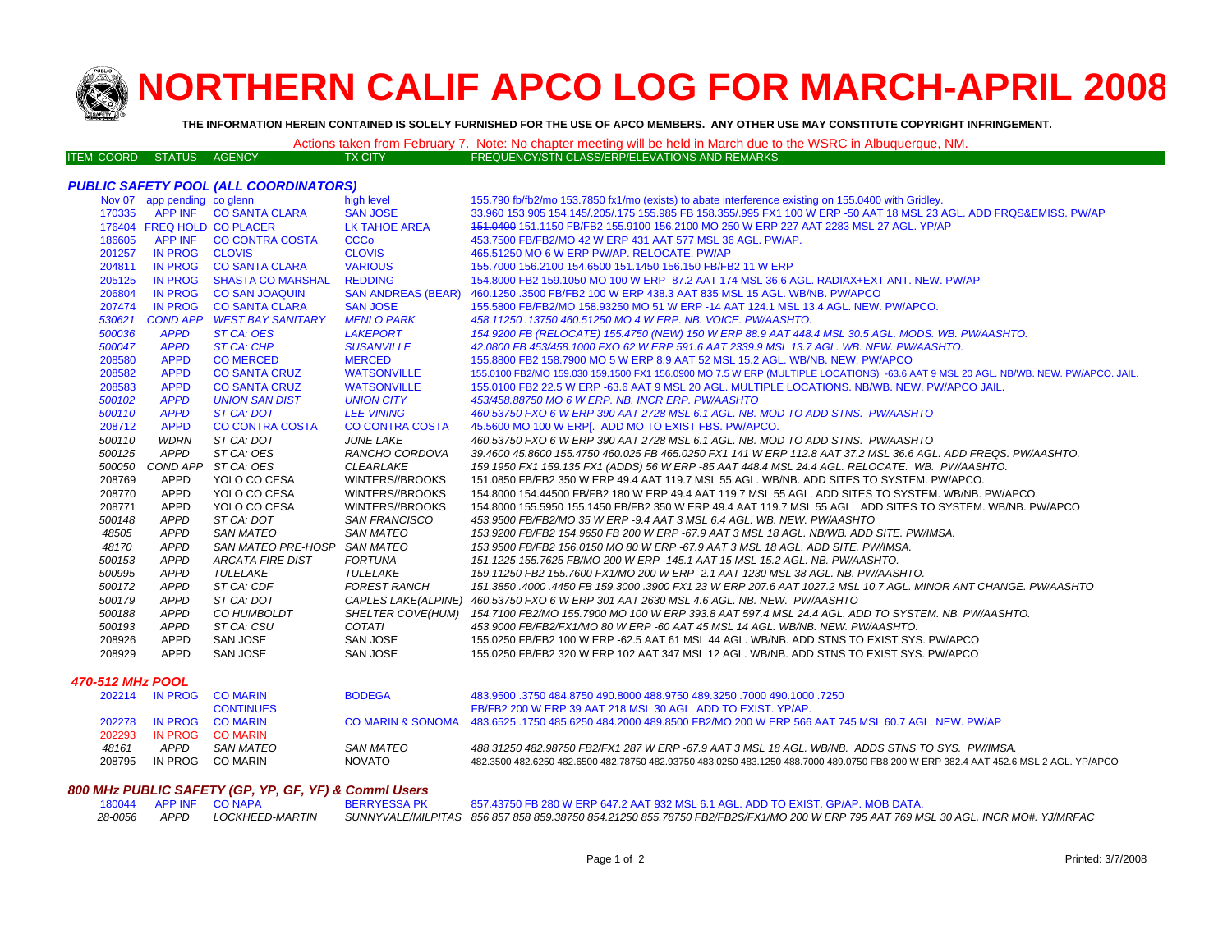

# **NORTHERN CALIF APCO LOG FOR MARCH-APRIL 200 8**

**THE INFORMATION HEREIN CONTAINED IS SOLELY FURNISHED FOR THE USE OF APCO MEMBERS. ANY OTHER USE MAY CONSTITUTE COPYRIGHT INFRINGEMENT.**

|                          |  |         | Actions taken from February 7. Note: No chapter meeting will be held in March due to the WSRC in Albuquerque, NM. |
|--------------------------|--|---------|-------------------------------------------------------------------------------------------------------------------|
| ITEM COORD STATUS AGENCY |  | TX CITY | FREQUENCY/STN CLASS/ERP/ELEVATIONS AND REMARKS                                                                    |

## *PUBLIC SAFETY POOL (ALL COORDINATORS)*

|        | Nov 07 app pending co glenn |                            | high level                | 155.790 fb/fb2/mo 153.7850 fx1/mo (exists) to abate interference existing on 155.0400 with Gridley.                                |
|--------|-----------------------------|----------------------------|---------------------------|------------------------------------------------------------------------------------------------------------------------------------|
| 170335 |                             | APP INF CO SANTA CLARA     | <b>SAN JOSE</b>           | 33.960 153.905 154.145/.205/.175 155.985 FB 158.355/.995 FX1 100 W ERP -50 AAT 18 MSL 23 AGL. ADD FRQS&EMISS. PW/AP                |
|        | 176404 FREQ HOLD CO PLACER  |                            | LK TAHOE AREA             | 151,0400 151,1150 FB/FB2 155,9100 156,2100 MO 250 W ERP 227 AAT 2283 MSL 27 AGL, YP/AP                                             |
| 186605 |                             | APP INF CO CONTRA COSTA    | <b>CCCo</b>               | 453.7500 FB/FB2/MO 42 W ERP 431 AAT 577 MSL 36 AGL, PW/AP.                                                                         |
| 201257 | IN PROG CLOVIS              |                            | <b>CLOVIS</b>             | 465.51250 MO 6 W ERP PW/AP, RELOCATE, PW/AP                                                                                        |
| 204811 |                             | IN PROG CO SANTA CLARA     | <b>VARIOUS</b>            | 155.7000 156.2100 154.6500 151.1450 156.150 FB/FB2 11 W ERP                                                                        |
| 205125 | <b>IN PROG</b>              | SHASTA CO MARSHAL          | <b>REDDING</b>            | 154,8000 FB2 159,1050 MO 100 W ERP -87,2 AAT 174 MSL 36.6 AGL, RADIAX+EXT ANT, NEW, PW/AP                                          |
| 206804 |                             | IN PROG CO SAN JOAQUIN     | <b>SAN ANDREAS (BEAR)</b> | 460.1250 .3500 FB/FB2 100 W ERP 438.3 AAT 835 MSL 15 AGL, WB/NB, PW/APCO                                                           |
| 207474 |                             | IN PROG CO SANTA CLARA     | <b>SAN JOSE</b>           | 155.5800 FB/FB2/MO 158.93250 MO 51 W ERP -14 AAT 124.1 MSL 13.4 AGL. NEW. PW/APCO.                                                 |
| 530621 |                             | COND APP WEST BAY SANITARY | <b>MENLO PARK</b>         | 458.11250.13750 460.51250 MO 4 W ERP. NB. VOICE. PW/AASHTO.                                                                        |
| 500036 | <b>APPD</b>                 | ST CA: OES                 | <b>LAKEPORT</b>           | 154.9200 FB (RELOCATE) 155.4750 (NEW) 150 W ERP 88.9 AAT 448.4 MSL 30.5 AGL. MODS. WB. PW/AASHTO.                                  |
| 500047 | <b>APPD</b>                 | ST CA: CHP                 | <b>SUSANVILLE</b>         | 42.0800 FB 453/458.1000 FXO 62 W ERP 591.6 AAT 2339.9 MSL 13.7 AGL, WB, NEW, PW/AASHTO,                                            |
| 208580 | <b>APPD</b>                 | <b>CO MERCED</b>           | <b>MERCED</b>             | 155,8800 FB2 158,7900 MO 5 W ERP 8.9 AAT 52 MSL 15.2 AGL, WB/NB, NEW, PW/APCO                                                      |
| 208582 | <b>APPD</b>                 | <b>CO SANTA CRUZ</b>       | <b>WATSONVILLE</b>        | 155.0100 FB2/MO 159.030 159.1500 FX1 156.0900 MO 7.5 W ERP (MULTIPLE LOCATIONS) -63.6 AAT 9 MSL 20 AGL. NB/WB. NEW. PW/APCO. JAIL. |
| 208583 | <b>APPD</b>                 | <b>CO SANTA CRUZ</b>       | <b>WATSONVILLE</b>        | 155,0100 FB2 22.5 W ERP -63.6 AAT 9 MSL 20 AGL, MULTIPLE LOCATIONS, NB/WB, NEW, PW/APCO JAIL.                                      |
| 500102 | <b>APPD</b>                 | <b>UNION SAN DIST</b>      | <b>UNION CITY</b>         | 453/458.88750 MO 6 W ERP. NB. INCR ERP. PW/AASHTO                                                                                  |
| 500110 | <b>APPD</b>                 | ST CA: DOT                 | <b>LEE VINING</b>         | 460.53750 FXO 6 W ERP 390 AAT 2728 MSL 6.1 AGL, NB, MOD TO ADD STNS, PW/AASHTO                                                     |
| 208712 | <b>APPD</b>                 | <b>CO CONTRA COSTA</b>     | <b>CO CONTRA COSTA</b>    | 45.5600 MO 100 W ERP[. ADD MO TO EXIST FBS. PW/APCO.                                                                               |
| 500110 | <b>WDRN</b>                 | ST CA: DOT                 | <b>JUNE LAKE</b>          | 460.53750 FXO 6 W ERP 390 AAT 2728 MSL 6.1 AGL. NB. MOD TO ADD STNS. PW/AASHTO                                                     |
| 500125 | APPD                        | ST CA: OES                 | RANCHO CORDOVA            | 39.4600 45.8600 155.4750 460.025 FB 465.0250 FX1 141 W ERP 112.8 AAT 37.2 MSL 36.6 AGL. ADD FREQS. PW/AASHTO.                      |
| 500050 |                             | COND APP ST CA: OES        | <b>CLEARLAKE</b>          | 159.1950 FX1 159.135 FX1 (ADDS) 56 W ERP -85 AAT 448.4 MSL 24.4 AGL. RELOCATE. WB. PW/AASHTO.                                      |
| 208769 | APPD                        | YOLO CO CESA               | WINTERS//BROOKS           | 151.0850 FB/FB2 350 W ERP 49.4 AAT 119.7 MSL 55 AGL. WB/NB. ADD SITES TO SYSTEM. PW/APCO.                                          |
| 208770 | APPD                        | YOLO CO CESA               | WINTERS//BROOKS           | 154,8000 154,44500 FB/FB2 180 W ERP 49,4 AAT 119.7 MSL 55 AGL. ADD SITES TO SYSTEM, WB/NB, PW/APCO,                                |
| 208771 | <b>APPD</b>                 | YOLO CO CESA               | WINTERS//BROOKS           | 154.8000 155.5950 155.1450 FB/FB2 350 W ERP 49.4 AAT 119.7 MSL 55 AGL. ADD SITES TO SYSTEM. WB/NB, PW/APCO                         |
| 500148 | <b>APPD</b>                 | ST CA: DOT                 | <b>SAN FRANCISCO</b>      | 453.9500 FB/FB2/MO 35 W ERP -9.4 AAT 3 MSL 6.4 AGL. WB. NEW. PW/AASHTO                                                             |
| 48505  | <b>APPD</b>                 | <b>SAN MATEO</b>           | <b>SAN MATEO</b>          | 153.9200 FB/FB2 154.9650 FB 200 W ERP -67.9 AAT 3 MSL 18 AGL. NB/WB. ADD SITE. PW/IMSA.                                            |
| 48170  | <b>APPD</b>                 | <b>SAN MATEO PRE-HOSP</b>  | SAN MATEO                 | 153.9500 FB/FB2 156.0150 MO 80 W ERP -67.9 AAT 3 MSL 18 AGL. ADD SITE. PW/IMSA.                                                    |
| 500153 | <b>APPD</b>                 | ARCATA FIRE DIST           | FORTUNA                   | 151.1225 155.7625 FB/MO 200 W ERP -145.1 AAT 15 MSL 15.2 AGL. NB. PW/AASHTO.                                                       |
| 500995 | <b>APPD</b>                 | TULELAKE                   | TULELAKE                  | 159.11250 FB2 155.7600 FX1/MO 200 W ERP -2.1 AAT 1230 MSL 38 AGL. NB. PW/AASHTO.                                                   |
| 500172 | <b>APPD</b>                 | ST CA: CDF                 | <b>FOREST RANCH</b>       | 151.3850 .4000 .4450 FB 159.3000 .3900 FX1 23 W ERP 207.6 AAT 1027.2 MSL 10.7 AGL. MINOR ANT CHANGE. PW/AASHTO                     |
| 500179 | <b>APPD</b>                 | ST CA: DOT                 |                           | CAPLES LAKE(ALPINE) 460.53750 FXO 6 W ERP 301 AAT 2630 MSL 4.6 AGL. NB. NEW. PW/AASHTO                                             |
| 500188 | <b>APPD</b>                 | CO HUMBOLDT                | <b>SHELTER COVE(HUM)</b>  | 154.7100 FB2/MO 155.7900 MO 100 W ERP 393.8 AAT 597.4 MSL 24.4 AGL. ADD TO SYSTEM. NB. PW/AASHTO.                                  |
| 500193 | APPD                        | ST CA: CSU                 | <b>COTATI</b>             | 453.9000 FB/FB2/FX1/MO 80 W ERP -60 AAT 45 MSL 14 AGL. WB/NB. NEW. PW/AASHTO.                                                      |
| 208926 | APPD                        | SAN JOSE                   | SAN JOSE                  | 155.0250 FB/FB2 100 W ERP -62.5 AAT 61 MSL 44 AGL. WB/NB. ADD STNS TO EXIST SYS. PW/APCO                                           |
| 208929 | <b>APPD</b>                 | <b>SAN JOSE</b>            | SAN JOSE                  | 155,0250 FB/FB2 320 W ERP 102 AAT 347 MSL 12 AGL. WB/NB, ADD STNS TO EXIST SYS, PW/APCO                                            |
|        |                             |                            |                           |                                                                                                                                    |

#### *470-512 MHz POOL*

|         |                  | <b>BODEGA</b>                                                        | 483,9500 .3750 484 8750 490 8000 488 9750 489 3250 .7000 490 1000 .7250                                                             |
|---------|------------------|----------------------------------------------------------------------|-------------------------------------------------------------------------------------------------------------------------------------|
|         | <b>CONTINUES</b> |                                                                      | FB/FB2 200 W ERP 39 AAT 218 MSL 30 AGL. ADD TO EXIST, YP/AP.                                                                        |
|         |                  |                                                                      | CO MARIN & SONOMA 483,6525, 1750 485,6250 484,2000 489,8500 FB2/MO 200 W ERP 566 AAT 745 MSL 60.7 AGL, NEW, PW/AP                   |
|         |                  |                                                                      |                                                                                                                                     |
| APPD    | SAN MATEO        | SAN MATEO                                                            | 488.31250 482.98750 FB2/FX1 287 W ERP -67.9 AAT 3 MSL 18 AGL, WB/NB, ADDS STNS TO SYS, PW/IMSA.                                     |
| IN PROG | CO MARIN         | <b>NOVATO</b>                                                        | 482.3500 482.6250 482.6500 482.78750 482.93750 483.0250 483.1250 488.7000 489.0750 FB8 200 W ERP 382.4 AAT 452.6 MSL 2 AGL. YP/APCO |
| 202293  |                  | 202214 IN PROG COMARIN<br>202278 IN PROG COMARIN<br>IN PROG CO MARIN |                                                                                                                                     |

#### *800 MHz PUBLIC SAFETY (GP, YP, GF, YF) & Comml Users*

|  | 180044 APP INF CONAPA | <b>BERRYESSA PK</b> | 857.43750 FB 280 W ERP 647.2 AAT 932 MSL 6.1 AGL. ADD TO EXIST. GP/AP. MOB DATA.                                                                               |
|--|-----------------------|---------------------|----------------------------------------------------------------------------------------------------------------------------------------------------------------|
|  |                       |                     | 28-0056 APPD LOCKHEED-MARTIN SUNNYVALE/MILPITAS 856 857 858 859.38750 854.21250 855.78750 FB2/FB2S/FX1/MO 200 W ERP 795 AAT 769 MSL 30 AGL. INCR MO#. YJ/MRFAC |